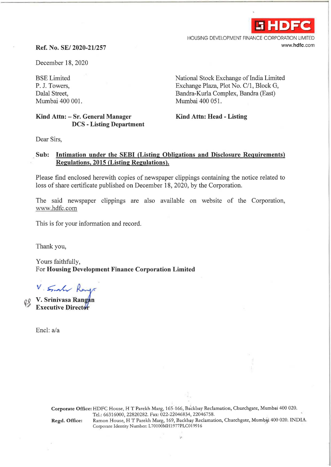

HOUSING DEVELOPMENT FINANCE CORPORATION LIMITED www.hdfc.com

## **Ref.** No. SE/ **2020-211257**

December 18, 2020

BSE Limited P. J. Towers, Dalal Street, Mumbai 400 001.

## **Kind Attn: - Sr. General Manager DCS - Listing Department**

National Stock Exchange of India Limited Exchange Plaza, Plot No. C/1, Block G, Bandra-Kurla Complex, Bandra (East) Mumbai 400 051.

**Kind Attn: Head - Listing** 

Dear Sirs,

## **Sub: Intimation under the SEBI (Listing Obligations and Disclosure Requirements) Regulations, 2015 (Listing Regulations).**

Please find enclosed herewith copies of newspaper clippings containing the notice related to loss of share certificate published on December 18, 2020, by the Corporation.

The said newspaper clippings are also available on website of the Corporation, www.hdfc.com

This is for your information and record.

Thank you,

Yours faithfully, For **Housing Development Finance Corporation Limited** 

V. Smal Range

**Executive Director** 

Encl: a/a

Corporate Office: HDFC House, H T Parekh Marg, 165-166, Backbay Reclamation, Churchgate, Mumbai 400 020. Tel.: 66316000, 22820282. Fax: 022-22046834, 22046758. Regd. Office: Ramon House, HT Parekh Marg, 169, Backbay Reclamation, Churchgate, Mumbai 400 020. INDIA. Corporate Identity Number: L70100MH1977PLC019916

 $\ddot{\phantom{a}}$